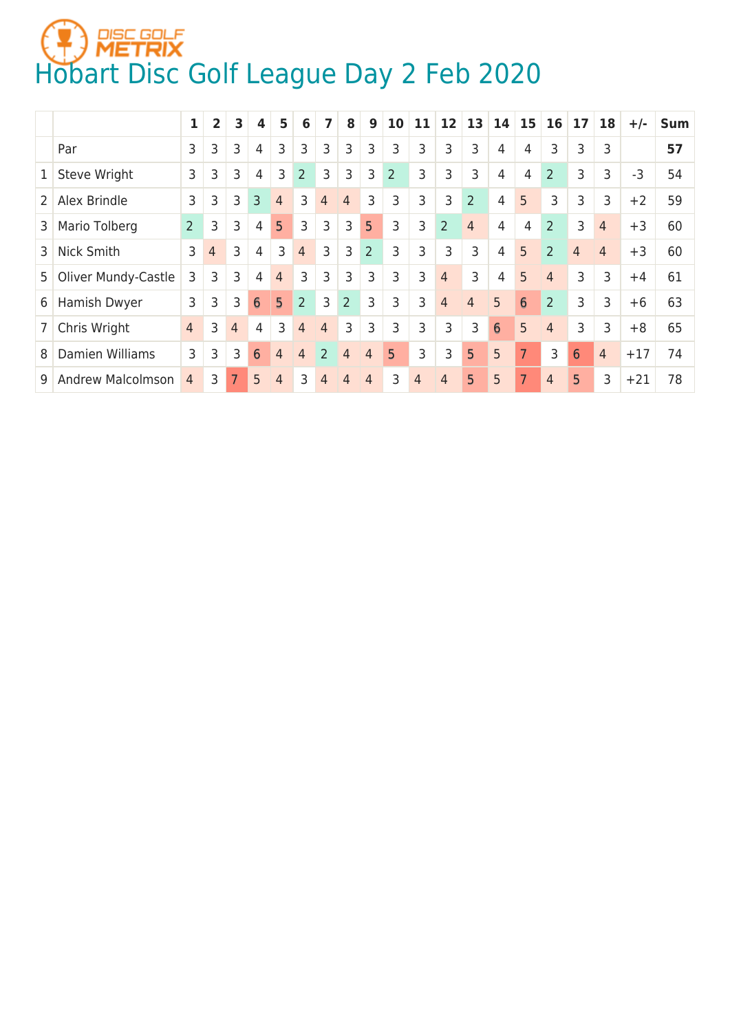## **HOBART SOLE**<br>[Hobart Disc Golf League Day 2 Feb 2020](https://discgolfmetrix.com/1154371)

|                |                          | 1              | $\overline{\mathbf{2}}$ | 3 | 4 | 5               | 6              | 7              | 8              | 9              | 10             | 11 | 12             | 13             | 14 | 15 | 16             | 17             | 18             | $+/-$ | <b>Sum</b> |
|----------------|--------------------------|----------------|-------------------------|---|---|-----------------|----------------|----------------|----------------|----------------|----------------|----|----------------|----------------|----|----|----------------|----------------|----------------|-------|------------|
|                | Par                      | 3              | 3                       | 3 | 4 | 3               | 3              | 3              | 3              | 3              | 3              | 3  | 3              | 3              | 4  | 4  | 3              | 3              | 3              |       | 57         |
| $\mathbf{1}$   | Steve Wright             | 3              | 3                       | 3 | 4 | 3               | $\overline{2}$ | 3              | 3              | 3              | $\overline{2}$ | 3  | 3              | 3              | 4  | 4  | $\overline{2}$ | 3              | 3              | $-3$  | 54         |
| $\overline{2}$ | Alex Brindle             | 3              | 3                       | 3 | 3 | 4               | 3              | 4              | $\overline{4}$ | 3              | 3              | 3  | 3              | $\overline{2}$ | 4  | 5  | 3              | 3              | 3              | $+2$  | 59         |
| 3              | Mario Tolberg            | $\overline{2}$ | 3                       | 3 | 4 | 5               | 3              | 3              | 3              | 5              | 3              | 3  | $\overline{2}$ | $\overline{4}$ | 4  | 4  | $\overline{2}$ | 3              | $\overline{4}$ | $+3$  | 60         |
| $\overline{3}$ | Nick Smith               | 3              | $\overline{4}$          | 3 | 4 | 3               | $\overline{4}$ | 3              | 3              | $\overline{2}$ | 3              | 3  | 3              | 3              | 4  | 5  | $\overline{2}$ | $\overline{4}$ | 4              | $+3$  | 60         |
| 5 <sup>1</sup> | Oliver Mundy-Castle      | 3              | 3                       | 3 | 4 | 4               | 3              | 3              | 3              | 3              | 3              | 3  | $\overline{4}$ | 3              | 4  | 5  | $\overline{4}$ | 3              | 3              | $+4$  | 61         |
| 6              | Hamish Dwyer             | 3              | 3                       | 3 | 6 | $5\overline{)}$ | $\overline{2}$ | 3              | $\overline{2}$ | 3              | 3              | 3  | $\overline{4}$ | 4              | 5  | 6  | $\overline{2}$ | 3              | 3              | $+6$  | 63         |
|                | Chris Wright             | $\overline{4}$ | 3                       | 4 | 4 | 3               | $\overline{4}$ | $\overline{4}$ | 3              | 3              | 3              | 3  | 3              | 3              | 6  | 5  | $\overline{4}$ | 3              | 3              | $+8$  | 65         |
| 8              | Damien Williams          | 3              | 3                       | 3 | 6 | 4               | 4              | $\overline{2}$ | $\overline{4}$ | 4              | 5              | 3  | 3              | 5              | 5  | 7  | 3              | 6              | $\overline{4}$ | $+17$ | 74         |
| 9              | <b>Andrew Malcolmson</b> | 4              | 3                       | 7 | 5 | 4               | 3              | 4              | 4              | 4              | 3              | 4  | 4              | 5              | 5  | 7  | $\overline{4}$ | 5              | 3              | $+21$ | 78         |